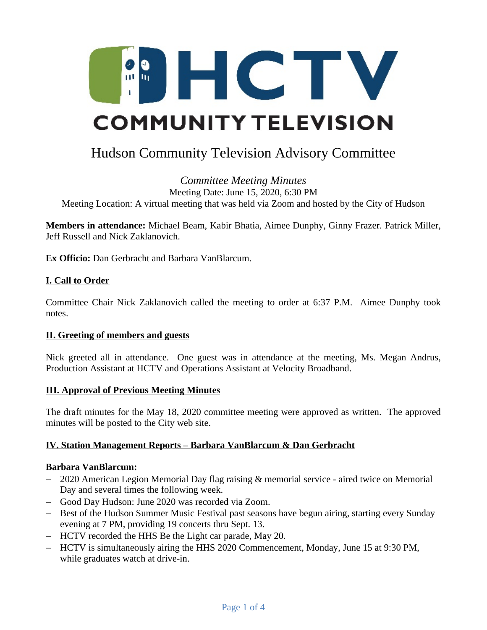

# Hudson Community Television Advisory Committee

#### *Committee Meeting Minutes* Meeting Date: June 15, 2020, 6:30 PM Meeting Location: A virtual meeting that was held via Zoom and hosted by the City of Hudson

**Members in attendance:** Michael Beam, Kabir Bhatia, Aimee Dunphy, Ginny Frazer. Patrick Miller, Jeff Russell and Nick Zaklanovich.

**Ex Officio:** Dan Gerbracht and Barbara VanBlarcum.

## **I. Call to Order**

Committee Chair Nick Zaklanovich called the meeting to order at 6:37 P.M. Aimee Dunphy took notes.

#### **II. Greeting of members and guests**

Nick greeted all in attendance. One guest was in attendance at the meeting, Ms. Megan Andrus, Production Assistant at HCTV and Operations Assistant at Velocity Broadband.

#### **III. Approval of Previous Meeting Minutes**

The draft minutes for the May 18, 2020 committee meeting were approved as written. The approved minutes will be posted to the City web site.

#### **IV. Station Management Reports – Barbara VanBlarcum & Dan Gerbracht**

#### **Barbara VanBlarcum:**

- 2020 American Legion Memorial Day flag raising & memorial service aired twice on Memorial Day and several times the following week.
- Good Day Hudson: June 2020 was recorded via Zoom.
- Best of the Hudson Summer Music Festival past seasons have begun airing, starting every Sunday evening at 7 PM, providing 19 concerts [thru Sept. 13.](x-apple-data-detectors://6)
- HCTV recorded the HHS Be the Light car parade, May 20.
- HCTV is simultaneously airing the HHS 2020 Commencement, Monday, June 15 at 9:30 PM, while graduates watch at drive-in.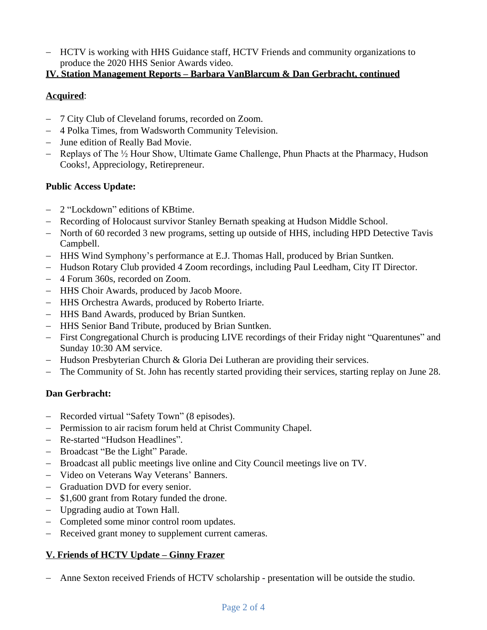- HCTV is working with HHS Guidance staff, HCTV Friends and community organizations to produce the 2020 HHS Senior Awards video.

## **IV. Station Management Reports – Barbara VanBlarcum & Dan Gerbracht, continued**

# **Acquired**:

- 7 City Club of Cleveland forums, recorded on Zoom.
- 4 Polka Times, from Wadsworth Community Television.
- June edition of Really Bad Movie.
- Replays of The  $\frac{1}{2}$  Hour Show, Ultimate Game Challenge, Phun Phacts at the Pharmacy, Hudson Cooks!, Appreciology, Retirepreneur.

## **Public Access Update:**

- 2 "Lockdown" editions of KBtime.
- Recording of Holocaust survivor Stanley Bernath speaking at Hudson Middle School.
- North of 60 recorded 3 new programs, setting up outside of HHS, including HPD Detective Tavis Campbell.
- HHS Wind Symphony's performance at E.J. Thomas Hall, produced by Brian Suntken.
- Hudson Rotary Club provided 4 Zoom recordings, including Paul Leedham, City IT Director.
- 4 Forum 360s, recorded on Zoom.
- HHS Choir Awards, produced by Jacob Moore.
- HHS Orchestra Awards, produced by Roberto Iriarte.
- HHS Band Awards, produced by Brian Suntken.
- HHS Senior Band Tribute, produced by Brian Suntken.
- First Congregational Church is producing LIVE recordings of their Friday night "Quarentunes" and Sunday 10:30 AM service.
- $-$  Hudson Presbyterian Church & Gloria Dei Lutheran are providing their services.
- The Community of St. John has recently started providing their services, starting replay on June 28.

# **Dan Gerbracht:**

- Recorded virtual "Safety Town" (8 episodes).
- Permission to air racism forum held at Christ Community Chapel.
- Re-started "Hudson Headlines".
- Broadcast "Be the Light" Parade.
- Broadcast all public meetings live online and City Council meetings live on TV.
- Video on Veterans Way Veterans' Banners.
- Graduation DVD for every senior.
- \$1,600 grant from Rotary funded the drone.
- Upgrading audio at Town Hall.
- Completed some minor control room updates.
- Received grant money to supplement current cameras.

# **V. Friends of HCTV Update – Ginny Frazer**

Anne Sexton received Friends of HCTV scholarship - presentation will be outside the studio.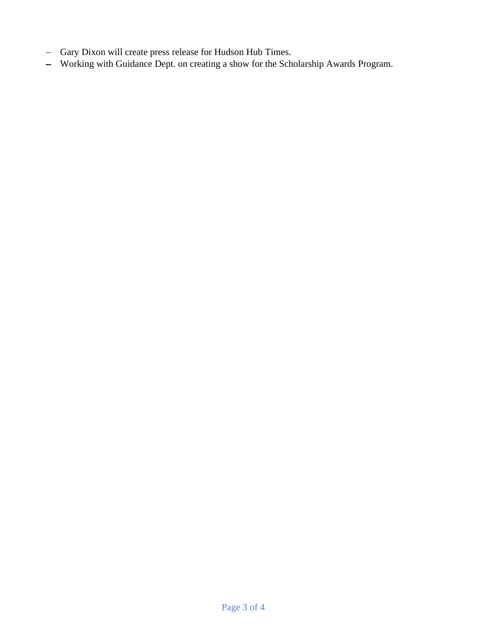- Gary Dixon will create press release for Hudson Hub Times.
- Working with Guidance Dept. on creating a show for the Scholarship Awards Program.